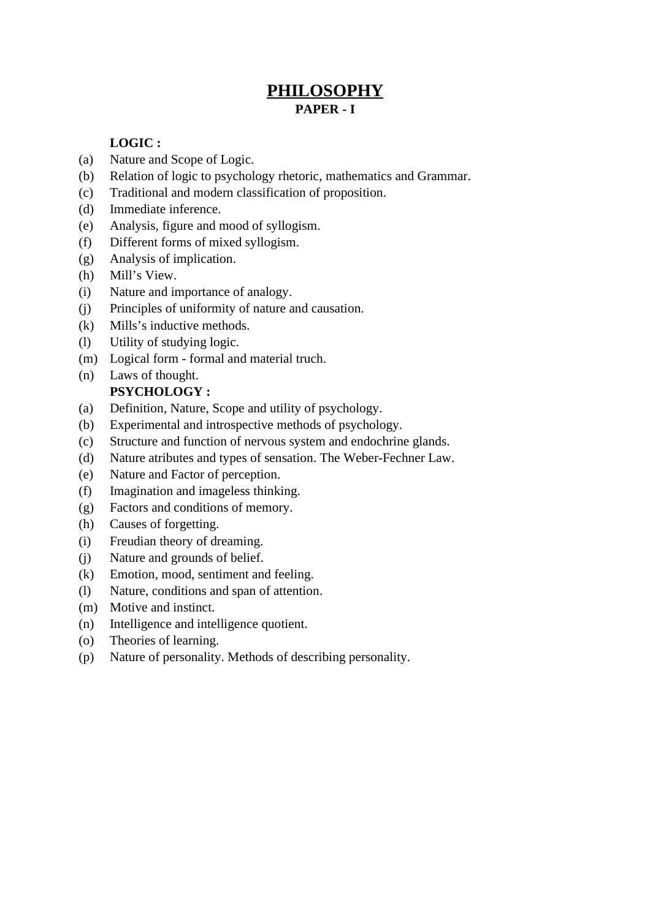# **PHILOSOPHY PAPER - I**

## **LOGIC :**

- (a) Nature and Scope of Logic.
- (b) Relation of logic to psychology rhetoric, mathematics and Grammar.
- (c) Traditional and modern classification of proposition.
- (d) Immediate inference.
- (e) Analysis, figure and mood of syllogism.
- (f) Different forms of mixed syllogism.
- (g) Analysis of implication.
- (h) Mill's View.
- (i) Nature and importance of analogy.
- (j) Principles of uniformity of nature and causation.
- (k) Mills's inductive methods.
- (l) Utility of studying logic.
- (m) Logical form formal and material truch.
- (n) Laws of thought. **PSYCHOLOGY :**

# (a) Definition, Nature, Scope and utility of psychology.

- (b) Experimental and introspective methods of psychology.
- (c) Structure and function of nervous system and endochrine glands.
- (d) Nature atributes and types of sensation. The Weber-Fechner Law.
- (e) Nature and Factor of perception.
- (f) Imagination and imageless thinking.
- (g) Factors and conditions of memory.
- (h) Causes of forgetting.
- (i) Freudian theory of dreaming.
- (j) Nature and grounds of belief.
- (k) Emotion, mood, sentiment and feeling.
- (l) Nature, conditions and span of attention.
- (m) Motive and instinct.
- (n) Intelligence and intelligence quotient.
- (o) Theories of learning.
- (p) Nature of personality. Methods of describing personality.